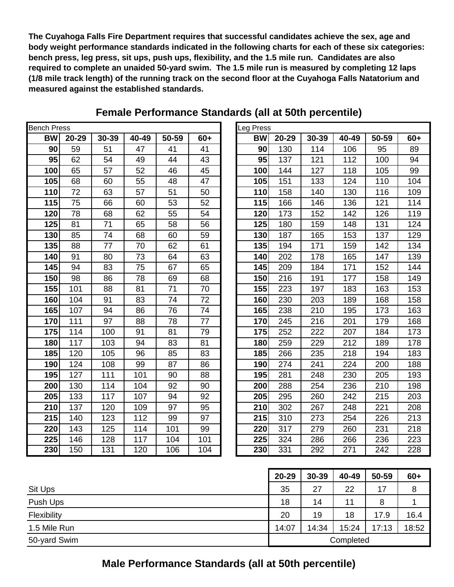**The Cuyahoga Falls Fire Department requires that successful candidates achieve the sex, age and body weight performance standards indicated in the following charts for each of these six categories: bench press, leg press, sit ups, push ups, flexibility, and the 1.5 mile run. Candidates are also required to complete an unaided 50-yard swim. The 1.5 mile run is measured by completing 12 laps (1/8 mile track length) of the running track on the second floor at the Cuyahoga Falls Natatorium and measured against the established standards.**

| <b>Bench Press</b> | Leg Press |       |       |       |       |           |
|--------------------|-----------|-------|-------|-------|-------|-----------|
| <b>BW</b>          | 20-29     | 30-39 | 40-49 | 50-59 | $60+$ | <b>BW</b> |
| 90                 | 59        | 51    | 47    | 41    | 41    | 90        |
| 95                 | 62        | 54    | 49    | 44    | 43    | 95        |
| 100                | 65        | 57    | 52    | 46    | 45    | 100       |
| 105                | 68        | 60    | 55    | 48    | 47    | 105       |
| 110                | 72        | 63    | 57    | 51    | 50    | 110       |
| 115                | 75        | 66    | 60    | 53    | 52    | 115       |
| 120                | 78        | 68    | 62    | 55    | 54    | 120       |
| 125                | 81        | 71    | 65    | 58    | 56    | 125       |
| 130                | 85        | 74    | 68    | 60    | 59    | 130       |
| 135                | 88        | 77    | 70    | 62    | 61    | 135       |
| 140                | 91        | 80    | 73    | 64    | 63    | 140       |
| 145                | 94        | 83    | 75    | 67    | 65    | 145       |
| 150                | 98        | 86    | 78    | 69    | 68    | 150       |
| 155                | 101       | 88    | 81    | 71    | 70    | 155       |
| 160                | 104       | 91    | 83    | 74    | 72    | 160       |
| 165                | 107       | 94    | 86    | 76    | 74    | 165       |
| 170                | 111       | 97    | 88    | 78    | 77    | 170       |
| 175                | 114       | 100   | 91    | 81    | 79    | 175       |
| 180                | 117       | 103   | 94    | 83    | 81    | 180       |
| 185                | 120       | 105   | 96    | 85    | 83    | 185       |
| 190                | 124       | 108   | 99    | 87    | 86    | 190       |
| 195                | 127       | 111   | 101   | 90    | 88    | 195       |
| 200                | 130       | 114   | 104   | 92    | 90    | 200       |
| 205                | 133       | 117   | 107   | 94    | 92    | 205       |
| 210                | 137       | 120   | 109   | 97    | 95    | 210       |
| 215                | 140       | 123   | 112   | 99    | 97    | 215       |
| 220                | 143       | 125   | 114   | 101   | 99    | 220       |
| 225                | 146       | 128   | 117   | 104   | 101   | 225       |
| 230                | 150       | 131   | 120   | 106   | 104   | 230       |

## **Female Performance Standards (all at 50th percentile)**

| h Press:  |       |       |       |       |       | Leg Press |       |       |       |       |       |
|-----------|-------|-------|-------|-------|-------|-----------|-------|-------|-------|-------|-------|
| <b>BW</b> | 20-29 | 30-39 | 40-49 | 50-59 | $60+$ | <b>BW</b> | 20-29 | 30-39 | 40-49 | 50-59 | $60+$ |
| 90        | 59    | 51    | 47    | 41    | 41    | 90        | 130   | 114   | 106   | 95    | 89    |
| 95        | 62    | 54    | 49    | 44    | 43    | 95        | 137   | 121   | 112   | 100   | 94    |
| 100       | 65    | 57    | 52    | 46    | 45    | 100       | 144   | 127   | 118   | 105   | 99    |
| 105       | 68    | 60    | 55    | 48    | 47    | 105       | 151   | 133   | 124   | 110   | 104   |
| 110       | 72    | 63    | 57    | 51    | 50    | 110       | 158   | 140   | 130   | 116   | 109   |
| 115       | 75    | 66    | 60    | 53    | 52    | 115       | 166   | 146   | 136   | 121   | 114   |
| 120       | 78    | 68    | 62    | 55    | 54    | 120       | 173   | 152   | 142   | 126   | 119   |
| 125       | 81    | 71    | 65    | 58    | 56    | 125       | 180   | 159   | 148   | 131   | 124   |
| 130       | 85    | 74    | 68    | 60    | 59    | 130       | 187   | 165   | 153   | 137   | 129   |
| 135       | 88    | 77    | 70    | 62    | 61    | 135       | 194   | 171   | 159   | 142   | 134   |
| 140       | 91    | 80    | 73    | 64    | 63    | 140       | 202   | 178   | 165   | 147   | 139   |
| 145       | 94    | 83    | 75    | 67    | 65    | 145       | 209   | 184   | 171   | 152   | 144   |
| 150       | 98    | 86    | 78    | 69    | 68    | 150       | 216   | 191   | 177   | 158   | 149   |
| 155       | 101   | 88    | 81    | 71    | 70    | 155       | 223   | 197   | 183   | 163   | 153   |
| 160       | 104   | 91    | 83    | 74    | 72    | 160       | 230   | 203   | 189   | 168   | 158   |
| 165       | 107   | 94    | 86    | 76    | 74    | 165       | 238   | 210   | 195   | 173   | 163   |
| 170       | 111   | 97    | 88    | 78    | 77    | 170       | 245   | 216   | 201   | 179   | 168   |
| 175       | 114   | 100   | 91    | 81    | 79    | 175       | 252   | 222   | 207   | 184   | 173   |
| 180       | 117   | 103   | 94    | 83    | 81    | 180       | 259   | 229   | 212   | 189   | 178   |
| 185       | 120   | 105   | 96    | 85    | 83    | 185       | 266   | 235   | 218   | 194   | 183   |
| 190       | 124   | 108   | 99    | 87    | 86    | 190       | 274   | 241   | 224   | 200   | 188   |
| 195       | 127   | 111   | 101   | 90    | 88    | 195       | 281   | 248   | 230   | 205   | 193   |
| 200       | 130   | 114   | 104   | 92    | 90    | 200       | 288   | 254   | 236   | 210   | 198   |
| 205       | 133   | 117   | 107   | 94    | 92    | 205       | 295   | 260   | 242   | 215   | 203   |
| 210       | 137   | 120   | 109   | 97    | 95    | 210       | 302   | 267   | 248   | 221   | 208   |
| 215       | 140   | 123   | 112   | 99    | 97    | 215       | 310   | 273   | 254   | 226   | 213   |
| 220       | 143   | 125   | 114   | 101   | 99    | 220       | 317   | 279   | 260   | 231   | 218   |
| 225       | 146   | 128   | 117   | 104   | 101   | 225       | 324   | 286   | 266   | 236   | 223   |
| 230       | 150   | 131   | 120   | 106   | 104   | 230       | 331   | 292   | 271   | 242   | 228   |

|                           | $20 - 29$ | $30 - 39$ | 40-49 | 50-59 | $60+$ |
|---------------------------|-----------|-----------|-------|-------|-------|
| Sit Ups                   | 35        | 27        | 22    | 17    | 8     |
| Push Ups                  | 18        | 14        | 11    | 8     |       |
| Flexibility               | 20        | 19        | 18    | 17.9  | 16.4  |
| 1.5 Mile Run              | 14:07     | 14:34     | 15:24 | 17:13 | 18:52 |
| 50-yard Swim<br>Completed |           |           |       |       |       |

**Male Performance Standards (all at 50th percentile)**